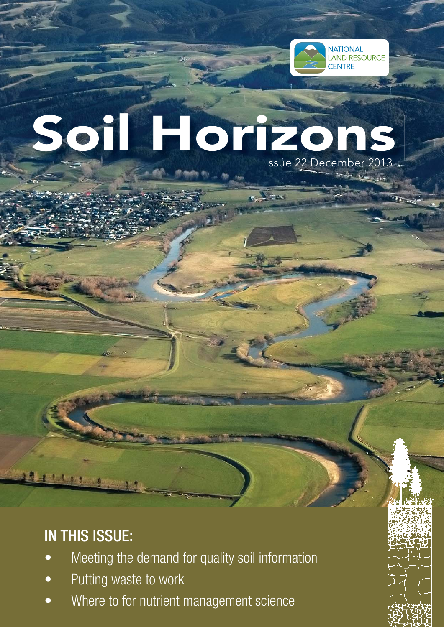

# Issue 22 December 2013 . Soil Horizons

# IN THIS ISSUE:

- Meeting the demand for quality soil information
- Putting waste to work
- Where to for nutrient management science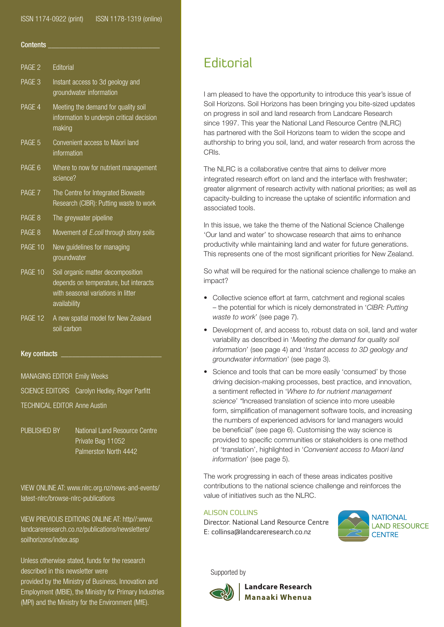### ISSN 1174-0922 (print) ISSN 1178-1319 (online)

### Contents

| <b>Fditorial</b>                                                                                                                 |
|----------------------------------------------------------------------------------------------------------------------------------|
| Instant access to 3d geology and<br>groundwater information                                                                      |
| Meeting the demand for quality soil<br>information to underpin critical decision<br>making                                       |
| Convenient access to Maori land<br>information                                                                                   |
| Where to now for nutrient management<br>science?                                                                                 |
| The Centre for Integrated Biowaste<br>Research (CIBR): Putting waste to work                                                     |
| The greywater pipeline                                                                                                           |
| Movement of <i>E.coli</i> through stony soils                                                                                    |
| New guidelines for managing<br>groundwater                                                                                       |
| Soil organic matter decomposition<br>depends on temperature, but interacts<br>with seasonal variations in litter<br>availability |
| A new spatial model for New Zealand<br>soil carbon                                                                               |
|                                                                                                                                  |

### Key contacts

MANAGING EDITOR Emily Weeks

SCIENCE EDITORS Carolyn Hedley, Roger Parfitt

TECHNICAL EDITOR Anne Austin

PUBLISHED BY National Land Resource Centre Private Bag 11052 Palmerston North 4442

VIEW ONLINE AT: www.nlrc.org.nz/news-and-events/ latest-nlrc/browse-nlrc-publications

VIEW PREVIOUS EDITIONS ONLINE AT: http//:www. landcareresearch.co.nz/publications/newsletters/ soilhorizons/index.asp

Unless otherwise stated, funds for the research described in this newsletter were provided by the Ministry of Business, Innovation and Employment (MBIE), the Ministry for Primary Industries (MPI) and the Ministry for the Environment (MfE).

# **Editorial**

I am pleased to have the opportunity to introduce this year's issue of Soil Horizons. Soil Horizons has been bringing you bite-sized updates on progress in soil and land research from Landcare Research since 1997. This year the National Land Resource Centre (NLRC) has partnered with the Soil Horizons team to widen the scope and authorship to bring you soil, land, and water research from across the CRIs.

The NLRC is a collaborative centre that aims to deliver more integrated research effort on land and the interface with freshwater; greater alignment of research activity with national priorities; as well as capacity-building to increase the uptake of scientific information and associated tools.

In this issue, we take the theme of the National Science Challenge 'Our land and water' to showcase research that aims to enhance productivity while maintaining land and water for future generations. This represents one of the most significant priorities for New Zealand.

So what will be required for the national science challenge to make an impact?

- Collective science effort at farm, catchment and regional scales – the potential for which is nicely demonstrated in '*CIBR: Putting waste to work*' (see page 7).
- Development of, and access to, robust data on soil, land and water variability as described in '*Meeting the demand for quality soil information*' (see page 4) and '*Instant access to 3D geology and groundwater information*' (see page 3).
- Science and tools that can be more easily 'consumed' by those driving decision-making processes, best practice, and innovation, a sentiment reflected in *'Where to for nutrient management science*' *"*Increased translation of science into more useable form, simplification of management software tools, and increasing the numbers of experienced advisors for land managers would be beneficial" (see page 6). Customising the way science is provided to specific communities or stakeholders is one method of 'translation', highlighted in '*Convenient access to Maori land information*' (see page 5).

The work progressing in each of these areas indicates positive contributions to the national science challenge and reinforces the value of initiatives such as the NLRC.

### ALISON COLLINS

Director. National Land Resource Centre E: collinsa@landcareresearch.co.nz



Supported by



**Landcare Research** Manaaki Whenua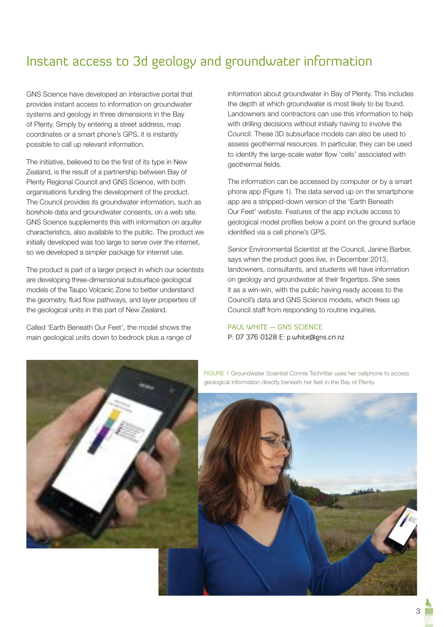# Instant access to 3d geology and groundwater information

GNS Science have developed an interactive portal that provides instant access to information on groundwater systems and geology in three dimensions in the Bay of Plenty. Simply by entering a street address, map coordinates or a smart phone's GPS, it is instantly possible to call up relevant information.

The initiative, believed to be the first of its type in New Zealand, is the result of a partnership between Bay of Plenty Regional Council and GNS Science, with both organisations funding the development of the product. The Council provides its groundwater information, such as borehole data and groundwater consents, on a web site. GNS Science supplements this with information on aquifer characteristics, also available to the public. The product we initially developed was too large to serve over the internet, so we developed a simpler package for internet use.

The product is part of a larger project in which our scientists are developing three-dimensional subsurface geological models of the Taupo Volcanic Zone to better understand the geometry, fluid flow pathways, and layer properties of the geological units in this part of New Zealand.

Called 'Earth Beneath Our Feet', the model shows the main geological units down to bedrock plus a range of information about groundwater in Bay of Plenty. This includes the depth at which groundwater is most likely to be found. Landowners and contractors can use this information to help with drilling decisions without initially having to involve the Council. These 3D subsurface models can also be used to assess geothermal resources. In particular, they can be used to identify the large-scale water flow 'cells' associated with geothermal fields.

The information can be accessed by computer or by a smart phone app (Figure 1). The data served up on the smartphone app are a stripped-down version of the 'Earth Beneath Our Feet' website. Features of the app include access to geological model profiles below a point on the ground surface identified via a cell phone's GPS.

Senior Environmental Scientist at the Council, Janine Barber, says when the product goes live, in December 2013, landowners, consultants, and students will have information on geology and groundwater at their fingertips. She sees it as a win-win, with the public having ready access to the Council's data and GNS Science models, which frees up Council staff from responding to routine inquiries.

### PAUL WHITE — GNS SCIENCE P: 07 376 0128 E: p.white@gns.cri.nz



FIGURE 1 Groundwater Scientist Connie Tschritter uses her cellphone to access geological information directly beneath her feet in the Bay of Plenty.

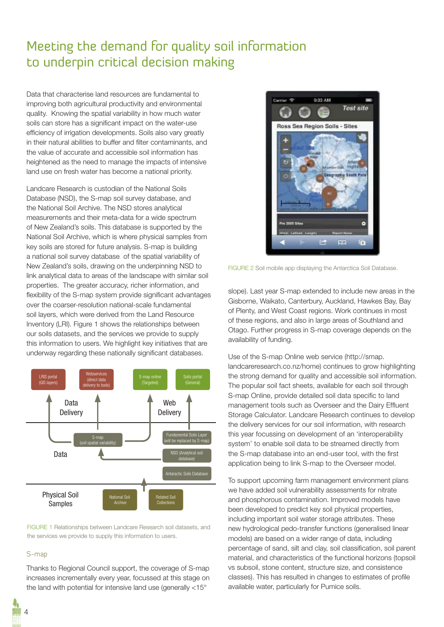# Meeting the demand for quality soil information to underpin critical decision making

Data that characterise land resources are fundamental to improving both agricultural productivity and environmental quality. Knowing the spatial variability in how much water soils can store has a significant impact on the water-use efficiency of irrigation developments. Soils also vary greatly in their natural abilities to buffer and filter contaminants, and the value of accurate and accessible soil information has heightened as the need to manage the impacts of intensive land use on fresh water has become a national priority.

Landcare Research is custodian of the National Soils Database (NSD), the S-map soil survey database, and the National Soil Archive. The NSD stores analytical measurements and their meta-data for a wide spectrum of New Zealand's soils. This database is supported by the National Soil Archive, which is where physical samples from key soils are stored for future analysis. S-map is building a national soil survey database of the spatial variability of New Zealand's soils, drawing on the underpinning NSD to link analytical data to areas of the landscape with similar soil properties. The greater accuracy, richer information, and flexibility of the S-map system provide significant advantages over the coarser-resolution national-scale fundamental soil layers, which were derived from the Land Resource Inventory (LRI). Figure 1 shows the relationships between our soils datasets, and the services we provide to supply this information to users. We highlight key initiatives that are underway regarding these nationally significant databases.



FIGURE 1 Relationships between Landcare Research soil datasets, and the services we provide to supply this information to users.

### S-map

Thanks to Regional Council support, the coverage of S-map increases incrementally every year, focussed at this stage on the land with potential for intensive land use (generally <15°



FIGURE 2 Soil mobile app displaying the Antarctica Soil Database.

slope). Last year S-map extended to include new areas in the Gisborne, Waikato, Canterbury, Auckland, Hawkes Bay, Bay of Plenty, and West Coast regions. Work continues in most of these regions, and also in large areas of Southland and Otago. Further progress in S-map coverage depends on the availability of funding.

Use of the S-map Online web service (http://smap. landcareresearch.co.nz/home) continues to grow highlighting the strong demand for quality and accessible soil information. The popular soil fact sheets, available for each soil through S-map Online, provide detailed soil data specific to land management tools such as Overseer and the Dairy Effluent Storage Calculator. Landcare Research continues to develop the delivery services for our soil information, with research this year focussing on development of an 'interoperability system' to enable soil data to be streamed directly from the S-map database into an end-user tool, with the first application being to link S-map to the Overseer model.

To support upcoming farm management environment plans we have added soil vulnerability assessments for nitrate and phosphorous contamination. Improved models have been developed to predict key soil physical properties, including important soil water storage attributes. These new hydrological pedo-transfer functions (generalised linear models) are based on a wider range of data, including percentage of sand, silt and clay, soil classification, soil parent material, and characteristics of the functional horizons (topsoil vs subsoil, stone content, structure size, and consistence classes). This has resulted in changes to estimates of profile available water, particularly for Pumice soils.

 $\Delta$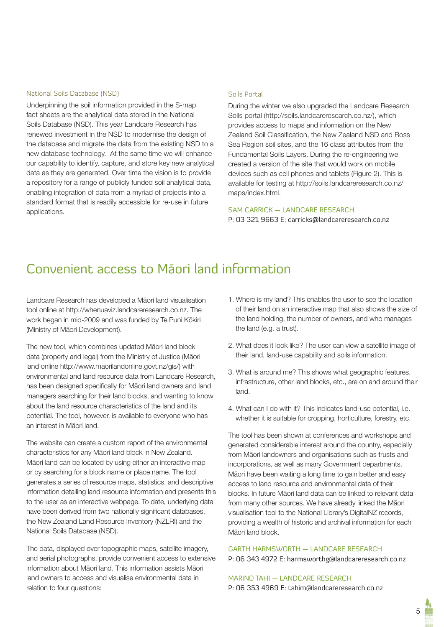### National Soils Database (NSD)

Underpinning the soil information provided in the S-map fact sheets are the analytical data stored in the National Soils Database (NSD). This year Landcare Research has renewed investment in the NSD to modernise the design of the database and migrate the data from the existing NSD to a new database technology. At the same time we will enhance our capability to identify, capture, and store key new analytical data as they are generated. Over time the vision is to provide a repository for a range of publicly funded soil analytical data, enabling integration of data from a myriad of projects into a standard format that is readily accessible for re-use in future applications.

### Soils Portal

During the winter we also upgraded the Landcare Research Soils portal (http://soils.landcareresearch.co.nz/), which provides access to maps and information on the New Zealand Soil Classification, the New Zealand NSD and Ross Sea Region soil sites, and the 16 class attributes from the Fundamental Soils Layers. During the re-engineering we created a version of the site that would work on mobile devices such as cell phones and tablets (Figure 2). This is available for testing at http://soils.landcareresearch.co.nz/ maps/index.html.

### SAM CARRICK — LANDCARE RESEARCH

P: 03 321 9663 E: carricks@landcareresearch.co.nz

### Convenient access to Māori land information

Landcare Research has developed a Māori land visualisation tool online at http://whenuaviz.landcareresearch.co.nz. The work began in mid-2009 and was funded by Te Puni Kōkiri (Ministry of Māori Development).

The new tool, which combines updated Māori land block data (property and legal) from the Ministry of Justice (Māori land online http://www.maorilandonline.govt.nz/gis/) with environmental and land resource data from Landcare Research, has been designed specifically for Māori land owners and land managers searching for their land blocks, and wanting to know about the land resource characteristics of the land and its potential. The tool, however, is available to everyone who has an interest in Māori land.

The website can create a custom report of the environmental characteristics for any Māori land block in New Zealand. Māori land can be located by using either an interactive map or by searching for a block name or place name. The tool generates a series of resource maps, statistics, and descriptive information detailing land resource information and presents this to the user as an interactive webpage. To date, underlying data have been derived from two nationally significant databases, the New Zealand Land Resource Inventory (NZLRI) and the National Soils Database (NSD).

The data, displayed over topographic maps, satellite imagery, and aerial photographs, provide convenient access to extensive information about Māori land. This information assists Māori land owners to access and visualise environmental data in relation to four questions:

- 1. Where is my land? This enables the user to see the location of their land on an interactive map that also shows the size of the land holding, the number of owners, and who manages the land (e.g. a trust).
- 2. What does it look like? The user can view a satellite image of their land, land-use capability and soils information.
- 3. What is around me? This shows what geographic features, infrastructure, other land blocks, etc., are on and around their land.
- 4. What can I do with it? This indicates land-use potential, i.e. whether it is suitable for cropping, horticulture, forestry, etc.

The tool has been shown at conferences and workshops and generated considerable interest around the country, especially from Māori landowners and organisations such as trusts and incorporations, as well as many Government departments. Māori have been waiting a long time to gain better and easy access to land resource and environmental data of their blocks. In future Māori land data can be linked to relevant data from many other sources. We have already linked the Māori visualisation tool to the National Library's DigitalNZ records, providing a wealth of historic and archival information for each Māori land block.

### GARTH HARMSWORTH — LANDCARE RESEARCH

P: 06 343 4972 E: harmsworthg@landcareresearch.co.nz

MARINO TAHI — LANDCARE RESEARCH P: 06 353 4969 E: tahim@landcareresearch.co.nz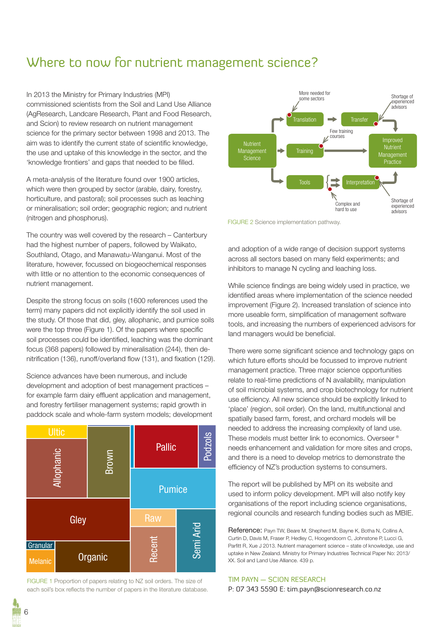### Where to now for nutrient management science?

In 2013 the Ministry for Primary Industries (MPI) commissioned scientists from the Soil and Land Use Alliance (AgResearch, Landcare Research, Plant and Food Research, and Scion) to review research on nutrient management science for the primary sector between 1998 and 2013. The aim was to identify the current state of scientific knowledge, the use and uptake of this knowledge in the sector, and the 'knowledge frontiers' and gaps that needed to be filled.

A meta-analysis of the literature found over 1900 articles, which were then grouped by sector (arable, dairy, forestry, horticulture, and pastoral); soil processes such as leaching or mineralisation; soil order; geographic region; and nutrient (nitrogen and phosphorus).

The country was well covered by the research – Canterbury had the highest number of papers, followed by Waikato, Southland, Otago, and Manawatu-Wanganui. Most of the literature, however, focussed on biogeochemical responses with little or no attention to the economic consequences of nutrient management.

Despite the strong focus on soils (1600 references used the term) many papers did not explicitly identify the soil used in the study. Of those that did, gley, allophanic, and pumice soils were the top three (Figure 1). Of the papers where specific soil processes could be identified, leaching was the dominant focus (368 papers) followed by mineralisation (244), then denitrification (136), runoff/overland flow (131), and fixation (129).

Science advances have been numerous, and include development and adoption of best management practices – for example farm dairy effluent application and management, and forestry fertiliser management systems; rapid growth in paddock scale and whole-farm system models; development



FIGURE 1 Proportion of papers relating to NZ soil orders. The size of



FIGURE 2 Science implementation pathway.

and adoption of a wide range of decision support systems across all sectors based on many field experiments; and inhibitors to manage N cycling and leaching loss.

While science findings are being widely used in practice, we identified areas where implementation of the science needed improvement (Figure 2). Increased translation of science into more useable form, simplification of management software tools, and increasing the numbers of experienced advisors for land managers would be beneficial.

There were some significant science and technology gaps on which future efforts should be focussed to improve nutrient management practice. Three major science opportunities relate to real-time predictions of N availability, manipulation of soil microbial systems, and crop biotechnology for nutrient use efficiency. All new science should be explicitly linked to 'place' (region, soil order). On the land, multifunctional and spatially based farm, forest, and orchard models will be needed to address the increasing complexity of land use. These models must better link to economics. Overseer® needs enhancement and validation for more sites and crops, and there is a need to develop metrics to demonstrate the efficiency of NZ's production systems to consumers.

The report will be published by MPI on its website and used to inform policy development. MPI will also notify key organisations of the report including science organisations, regional councils and research funding bodies such as MBIE.

Reference: Payn TW, Beare M, Shepherd M, Bayne K, Botha N, Collins A, Curtin D, Davis M, Fraser P, Hedley C, Hoogendoorn C, Johnstone P, Lucci G, Parfitt R, Xue J 2013. Nutrient management science – state of knowledge, use and uptake in New Zealand. Ministry for Primary Industries Technical Paper No: 2013/ XX. Soil and Land Use Alliance. 439 p.

### TIM PAYN — SCION RESEARCH

P: 07 343 5590 E: tim.payn@scionresearch.co.nz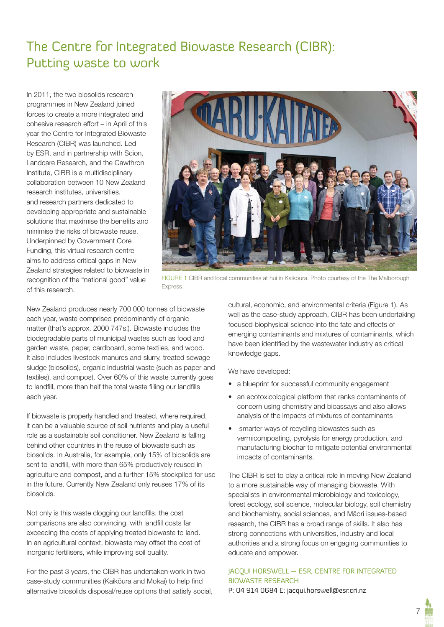# The Centre for Integrated Biowaste Research (CIBR): Putting waste to work

In 2011, the two biosolids research programmes in New Zealand joined forces to create a more integrated and cohesive research effort – in April of this year the Centre for Integrated Biowaste Research (CIBR) was launched. Led by ESR, and in partnership with Scion, Landcare Research, and the Cawthron Institute, CIBR is a multidisciplinary collaboration between 10 New Zealand research institutes, universities, and research partners dedicated to developing appropriate and sustainable solutions that maximise the benefits and minimise the risks of biowaste reuse. Underpinned by Government Core Funding, this virtual research centre aims to address critical gaps in New Zealand strategies related to biowaste in recognition of the "national good" value of this research.



FIGURE 1 CIBR and local communities at hui in Kaikoura. Photo courtesy of the The Malborough Express.

New Zealand produces nearly 700 000 tonnes of biowaste each year, waste comprised predominantly of organic matter (that's approx. 2000 747s!). Biowaste includes the biodegradable parts of municipal wastes such as food and garden waste, paper, cardboard, some textiles, and wood. It also includes livestock manures and slurry, treated sewage sludge (biosolids), organic industrial waste (such as paper and textiles), and compost. Over 60% of this waste currently goes to landfill, more than half the total waste filling our landfills each year.

If biowaste is properly handled and treated, where required, it can be a valuable source of soil nutrients and play a useful role as a sustainable soil conditioner. New Zealand is falling behind other countries in the reuse of biowaste such as biosolids. In Australia, for example, only 15% of biosolids are sent to landfill, with more than 65% productively reused in agriculture and compost, and a further 15% stockpiled for use in the future. Currently New Zealand only reuses 17% of its biosolids.

Not only is this waste clogging our landfills, the cost comparisons are also convincing, with landfill costs far exceeding the costs of applying treated biowaste to land. In an agricultural context, biowaste may offset the cost of inorganic fertilisers, while improving soil quality.

For the past 3 years, the CIBR has undertaken work in two case-study communities (Kaikōura and Mokai) to help find alternative biosolids disposal/reuse options that satisfy social, cultural, economic, and environmental criteria (Figure 1). As well as the case-study approach, CIBR has been undertaking focused biophysical science into the fate and effects of emerging contaminants and mixtures of contaminants, which have been identified by the wastewater industry as critical knowledge gaps.

We have developed:

- a blueprint for successful community engagement
- an ecotoxicological platform that ranks contaminants of concern using chemistry and bioassays and also allows analysis of the impacts of mixtures of contaminants
- smarter ways of recycling biowastes such as vermicomposting, pyrolysis for energy production, and manufacturing biochar to mitigate potential environmental impacts of contaminants.

The CIBR is set to play a critical role in moving New Zealand to a more sustainable way of managing biowaste. With specialists in environmental microbiology and toxicology, forest ecology, soil science, molecular biology, soil chemistry and biochemistry, social sciences, and Māori issues-based research, the CIBR has a broad range of skills. It also has strong connections with universities, industry and local authorities and a strong focus on engaging communities to educate and empower.

### JACQUI HORSWELL — ESR, CENTRE FOR INTEGRATED BIOWASTE RESEARCH

P: 04 914 0684 E: jacqui.horswell@esr.cri.nz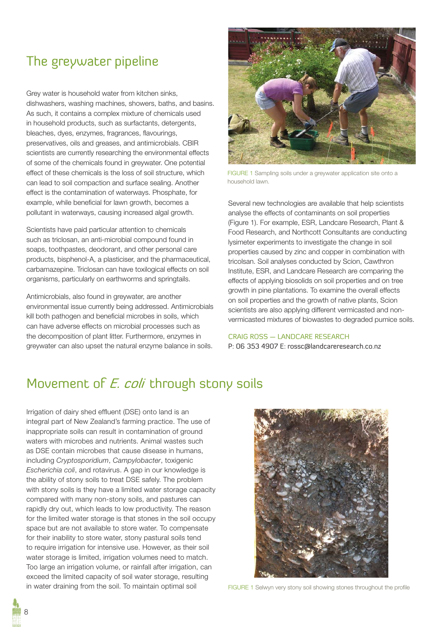### The greywater pipeline

Grey water is household water from kitchen sinks, dishwashers, washing machines, showers, baths, and basins. As such, it contains a complex mixture of chemicals used in household products, such as surfactants, detergents, bleaches, dyes, enzymes, fragrances, flavourings, preservatives, oils and greases, and antimicrobials. CBIR scientists are currently researching the environmental effects of some of the chemicals found in greywater. One potential effect of these chemicals is the loss of soil structure, which can lead to soil compaction and surface sealing. Another effect is the contamination of waterways. Phosphate, for example, while beneficial for lawn growth, becomes a pollutant in waterways, causing increased algal growth.

Scientists have paid particular attention to chemicals such as triclosan, an anti-microbial compound found in soaps, toothpastes, deodorant, and other personal care products, bisphenol-A, a plasticiser, and the pharmaceutical, carbamazepine. Triclosan can have toxilogical effects on soil organisms, particularly on earthworms and springtails.

Antimicrobials, also found in greywater, are another environmental issue currently being addressed. Antimicrobials kill both pathogen and beneficial microbes in soils, which can have adverse effects on microbial processes such as the decomposition of plant litter. Furthermore, enzymes in greywater can also upset the natural enzyme balance in soils.



FIGURE 1 Sampling soils under a greywater application site onto a household lawn.

Several new technologies are available that help scientists analyse the effects of contaminants on soil properties (Figure 1). For example, ESR, Landcare Research, Plant & Food Research, and Northcott Consultants are conducting lysimeter experiments to investigate the change in soil properties caused by zinc and copper in combination with tricolsan. Soil analyses conducted by Scion, Cawthron Institute, ESR, and Landcare Research are comparing the effects of applying biosolids on soil properties and on tree growth in pine plantations. To examine the overall effects on soil properties and the growth of native plants, Scion scientists are also applying different vermicasted and nonvermicasted mixtures of biowastes to degraded pumice soils.

### CRAIG ROSS — LANDCARE RESEARCH

P: 06 353 4907 E: rossc@landcareresearch.co.nz

### Movement of E. coli through stony soils

Irrigation of dairy shed effluent (DSE) onto land is an integral part of New Zealand's farming practice. The use of inappropriate soils can result in contamination of ground waters with microbes and nutrients. Animal wastes such as DSE contain microbes that cause disease in humans, including *Cryptosporidium*, *Campylobacter*, toxigenic *Escherichia coli*, and rotavirus. A gap in our knowledge is the ability of stony soils to treat DSE safely. The problem with stony soils is they have a limited water storage capacity compared with many non-stony soils, and pastures can rapidly dry out, which leads to low productivity. The reason for the limited water storage is that stones in the soil occupy space but are not available to store water. To compensate for their inability to store water, stony pastural soils tend to require irrigation for intensive use. However, as their soil water storage is limited, irrigation volumes need to match. Too large an irrigation volume, or rainfall after irrigation, can exceed the limited capacity of soil water storage, resulting in water draining from the soil. To maintain optimal soil FIGURE 1 Selwyn very stony soil showing stones throughout the profile

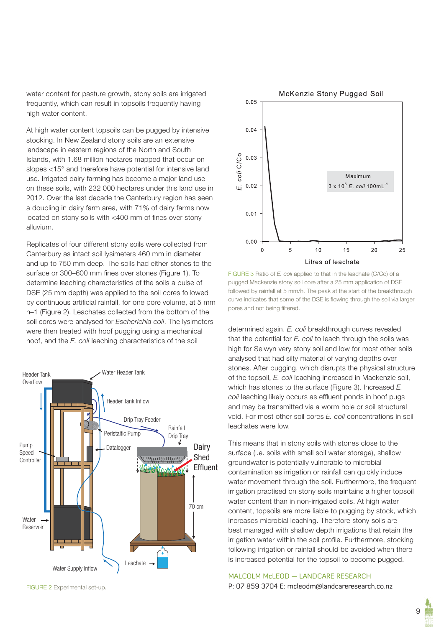water content for pasture growth, stony soils are irrigated frequently, which can result in topsoils frequently having high water content.

At high water content topsoils can be pugged by intensive stocking. In New Zealand stony soils are an extensive landscape in eastern regions of the North and South Islands, with 1.68 million hectares mapped that occur on slopes <15° and therefore have potential for intensive land use. Irrigated dairy farming has become a major land use on these soils, with 232 000 hectares under this land use in 2012. Over the last decade the Canterbury region has seen a doubling in dairy farm area, with 71% of dairy farms now located on stony soils with  $<$ 400 mm of fines over stony alluvium.

Replicates of four different stony soils were collected from Canterbury as intact soil lysimeters 460 mm in diameter and up to 750 mm deep. The soils had either stones to the surface or 300–600 mm fines over stones (Figure 1). To determine leaching characteristics of the soils a pulse of DSE (25 mm depth) was applied to the soil cores followed by continuous artificial rainfall, for one pore volume, at 5 mm h–1 (Figure 2). Leachates collected from the bottom of the soil cores were analysed for *Escherichia coli*. The lysimeters were then treated with hoof pugging using a mechanical hoof, and the *E. coli* leaching characteristics of the soil





FIGURE 3 Ratio of *E. coli* applied to that in the leachate (C/Co) of a pugged Mackenzie stony soil core after a 25 mm application of DSE followed by rainfall at 5 mm/h. The peak at the start of the breakthrough curve indicates that some of the DSE is flowing through the soil via larger pores and not being filtered.

determined again. *E. coli* breakthrough curves revealed that the potential for *E. coli* to leach through the soils was high for Selwyn very stony soil and low for most other soils analysed that had silty material of varying depths over stones. After pugging, which disrupts the physical structure of the topsoil, *E. coli* leaching increased in Mackenzie soil, which has stones to the surface (Figure 3). Increased *E. coli* leaching likely occurs as effluent ponds in hoof pugs and may be transmitted via a worm hole or soil structural void. For most other soil cores *E. coli* concentrations in soil leachates were low.

This means that in stony soils with stones close to the surface (i.e. soils with small soil water storage), shallow groundwater is potentially vulnerable to microbial contamination as irrigation or rainfall can quickly induce water movement through the soil. Furthermore, the frequent irrigation practised on stony soils maintains a higher topsoil water content than in non-irrigated soils. At high water content, topsoils are more liable to pugging by stock, which increases microbial leaching. Therefore stony soils are best managed with shallow depth irrigations that retain the irrigation water within the soil profile. Furthermore, stocking following irrigation or rainfall should be avoided when there is increased potential for the topsoil to become pugged.

#### MALCOLM McLEOD — LANDCARE RESEARCH

P: 07 859 3704 E: mcleodm@landcareresearch.co.nz

FIGURE 2 Experimental set-up.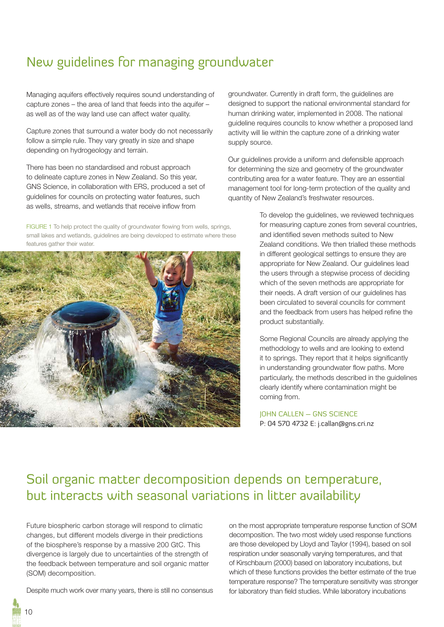# New guidelines for managing groundwater

Managing aquifers effectively requires sound understanding of capture zones – the area of land that feeds into the aquifer – as well as of the way land use can affect water quality.

Capture zones that surround a water body do not necessarily follow a simple rule. They vary greatly in size and shape depending on hydrogeology and terrain.

There has been no standardised and robust approach to delineate capture zones in New Zealand. So this year, GNS Science, in collaboration with ERS, produced a set of guidelines for councils on protecting water features, such as wells, streams, and wetlands that receive inflow from

FIGURE 1 To help protect the quality of groundwater flowing from wells, springs, small lakes and wetlands, guidelines are being developed to estimate where these features gather their water.



groundwater. Currently in draft form, the guidelines are designed to support the national environmental standard for human drinking water, implemented in 2008. The national guideline requires councils to know whether a proposed land activity will lie within the capture zone of a drinking water supply source.

Our guidelines provide a uniform and defensible approach for determining the size and geometry of the groundwater contributing area for a water feature. They are an essential management tool for long-term protection of the quality and quantity of New Zealand's freshwater resources.

> To develop the guidelines, we reviewed techniques for measuring capture zones from several countries, and identified seven methods suited to New Zealand conditions. We then trialled these methods in different geological settings to ensure they are appropriate for New Zealand. Our guidelines lead the users through a stepwise process of deciding which of the seven methods are appropriate for their needs. A draft version of our guidelines has been circulated to several councils for comment and the feedback from users has helped refine the product substantially.

> Some Regional Councils are already applying the methodology to wells and are looking to extend it to springs. They report that it helps significantly in understanding groundwater flow paths. More particularly, the methods described in the guidelines clearly identify where contamination might be coming from.

JOHN CALLEN – GNS SCIENCE P: 04 570 4732 E: j.callan@gns.cri.nz

# Soil organic matter decomposition depends on temperature, but interacts with seasonal variations in litter availability

Future biospheric carbon storage will respond to climatic changes, but different models diverge in their predictions of the biosphere's response by a massive 200 GtC. This divergence is largely due to uncertainties of the strength of the feedback between temperature and soil organic matter (SOM) decomposition.

Despite much work over many years, there is still no consensus

on the most appropriate temperature response function of SOM decomposition. The two most widely used response functions are those developed by Lloyd and Taylor (1994), based on soil respiration under seasonally varying temperatures, and that of Kirschbaum (2000) based on laboratory incubations, but which of these functions provides the better estimate of the true temperature response? The temperature sensitivity was stronger for laboratory than field studies. While laboratory incubations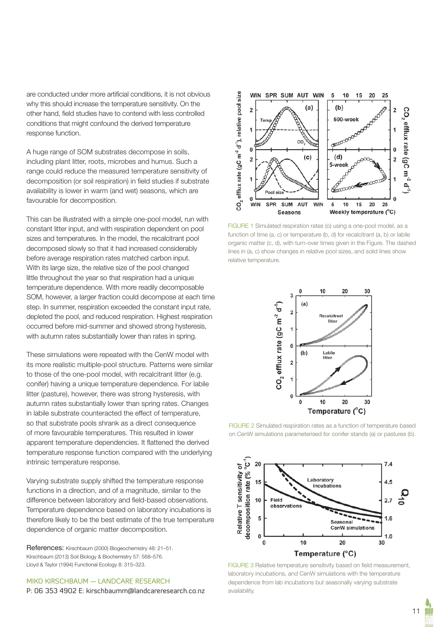are conducted under more artificial conditions, it is not obvious why this should increase the temperature sensitivity. On the other hand, field studies have to contend with less controlled conditions that might confound the derived temperature response function.

A huge range of SOM substrates decompose in soils, including plant litter, roots, microbes and humus. Such a range could reduce the measured temperature sensitivity of decomposition (or soil respiration) in field studies if substrate availability is lower in warm (and wet) seasons, which are favourable for decomposition.

This can be illustrated with a simple one-pool model, run with constant litter input, and with respiration dependent on pool sizes and temperatures. In the model, the recalcitrant pool decomposed slowly so that it had increased considerably before average respiration rates matched carbon input. With its large size, the relative size of the pool changed little throughout the year so that respiration had a unique temperature dependence. With more readily decomposable SOM, however, a larger fraction could decompose at each time step. In summer, respiration exceeded the constant input rate, depleted the pool, and reduced respiration. Highest respiration occurred before mid-summer and showed strong hysteresis, with autumn rates substantially lower than rates in spring.

These simulations were repeated with the CenW model with its more realistic multiple-pool structure. Patterns were similar to those of the one-pool model, with recalcitrant litter (e.g. conifer) having a unique temperature dependence. For labile litter (pasture), however, there was strong hysteresis, with autumn rates substantially lower than spring rates. Changes in labile substrate counteracted the effect of temperature, so that substrate pools shrank as a direct consequence of more favourable temperatures. This resulted in lower apparent temperature dependencies. It flattened the derived temperature response function compared with the underlying intrinsic temperature response.

Varying substrate supply shifted the temperature response functions in a direction, and of a magnitude, similar to the difference between laboratory and field-based observations. Temperature dependence based on laboratory incubations is therefore likely to be the best estimate of the true temperature dependence of organic matter decomposition.

References: Kirschbaum (2000) Biogeochemistry 48: 21–51. Kirschbaum (2013) Soil Biology & Biochemistry 57: 568–576. Lloyd & Taylor (1994) Functional Ecology 8: 315–323.

### MIKO KIRSCHBAUM — LANDCARE RESEARCH

P: 06 353 4902 E: kirschbaumm@landcareresearch.co.nz



FIGURE 1 Simulated respiration rates (o) using a one-pool model, as a function of time (a, c) or temperature (b, d) for recalcitrant (a, b) or labile organic matter (c, d), with turn-over times given in the Figure. The dashed lines in (a, c) show changes in relative pool sizes, and solid lines show relative temperature.



FIGURE 2 Simulated respiration rates as a function of temperature based on CenW simulations parameterised for conifer stands (a) or pastures (b).



FIGURE 3 Relative temperature sensitivity based on field measurement, laboratory incubations, and CenW simulations with the temperature dependence from lab incubations but seasonally varying substrate availability.